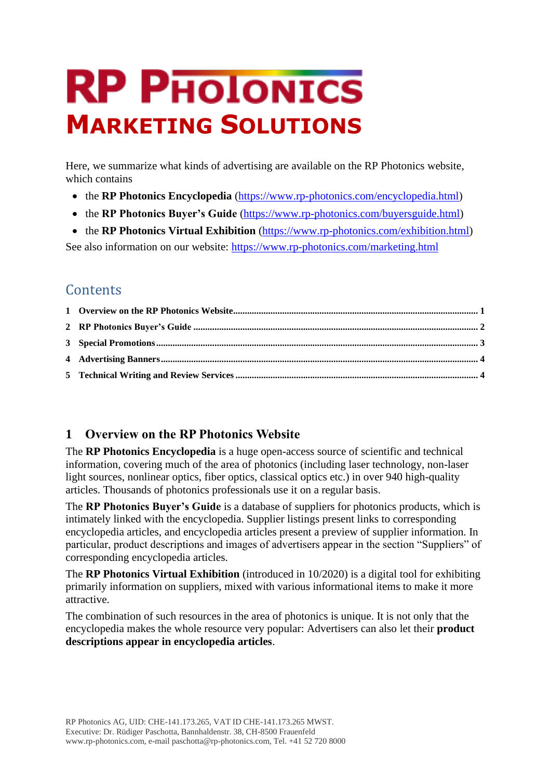# **RP PHOIONICS MARKETING SOLUTIONS**

Here, we summarize what kinds of advertising are available on the RP Photonics website, which contains

- the **RP Photonics Encyclopedia** [\(https://www.rp-photonics.com/encyclopedia.html\)](https://www.rp-photonics.com/encyclopedia.html)
- the **RP Photonics Buyer's Guide** [\(https://www.rp-photonics.com/buyersguide.html\)](https://www.rp-photonics.com/buyersguide.html)
- the **RP Photonics Virtual Exhibition** [\(https://www.rp-photonics.com/exhibition.html\)](https://www.rp-photonics.com/exhibition.html)

See also information on our website: <https://www.rp-photonics.com/marketing.html>

# **Contents**

## <span id="page-0-0"></span>**1 Overview on the RP Photonics Website**

The **RP Photonics Encyclopedia** is a huge open-access source of scientific and technical information, covering much of the area of photonics (including laser technology, non-laser light sources, nonlinear optics, fiber optics, classical optics etc.) in over 940 high-quality articles. Thousands of photonics professionals use it on a regular basis.

The **RP Photonics Buyer's Guide** is a database of suppliers for photonics products, which is intimately linked with the encyclopedia. Supplier listings present links to corresponding encyclopedia articles, and encyclopedia articles present a preview of supplier information. In particular, product descriptions and images of advertisers appear in the section "Suppliers" of corresponding encyclopedia articles.

The **RP Photonics Virtual Exhibition** (introduced in 10/2020) is a digital tool for exhibiting primarily information on suppliers, mixed with various informational items to make it more attractive.

The combination of such resources in the area of photonics is unique. It is not only that the encyclopedia makes the whole resource very popular: Advertisers can also let their **product descriptions appear in encyclopedia articles**.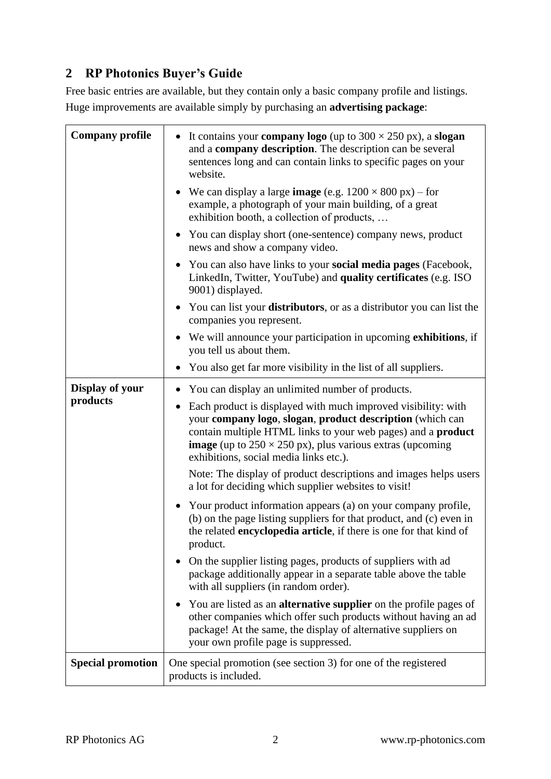## <span id="page-1-0"></span>**2 RP Photonics Buyer's Guide**

Free basic entries are available, but they contain only a basic company profile and listings. Huge improvements are available simply by purchasing an **advertising package**:

| <b>Company profile</b>   | It contains your <b>company logo</b> (up to $300 \times 250$ px), a <b>slogan</b><br>and a company description. The description can be several<br>sentences long and can contain links to specific pages on your<br>website.                                                                                           |
|--------------------------|------------------------------------------------------------------------------------------------------------------------------------------------------------------------------------------------------------------------------------------------------------------------------------------------------------------------|
|                          | We can display a large <b>image</b> (e.g. $1200 \times 800$ px) – for<br>example, a photograph of your main building, of a great<br>exhibition booth, a collection of products,                                                                                                                                        |
|                          | You can display short (one-sentence) company news, product<br>news and show a company video.                                                                                                                                                                                                                           |
|                          | • You can also have links to your social media pages (Facebook,<br>LinkedIn, Twitter, YouTube) and quality certificates (e.g. ISO<br>9001) displayed.                                                                                                                                                                  |
|                          | You can list your <b>distributors</b> , or as a distributor you can list the<br>companies you represent.                                                                                                                                                                                                               |
|                          | We will announce your participation in upcoming <b>exhibitions</b> , if<br>you tell us about them.                                                                                                                                                                                                                     |
|                          | You also get far more visibility in the list of all suppliers.                                                                                                                                                                                                                                                         |
| Display of your          | You can display an unlimited number of products.                                                                                                                                                                                                                                                                       |
| products                 | Each product is displayed with much improved visibility: with<br>your company logo, slogan, product description (which can<br>contain multiple HTML links to your web pages) and a <b>product</b><br><b>image</b> (up to $250 \times 250$ px), plus various extras (upcoming<br>exhibitions, social media links etc.). |
|                          | Note: The display of product descriptions and images helps users<br>a lot for deciding which supplier websites to visit!                                                                                                                                                                                               |
|                          | Your product information appears (a) on your company profile,<br>(b) on the page listing suppliers for that product, and (c) even in<br>the related encyclopedia article, if there is one for that kind of<br>product.                                                                                                 |
|                          | On the supplier listing pages, products of suppliers with ad<br>package additionally appear in a separate table above the table<br>with all suppliers (in random order).                                                                                                                                               |
|                          | You are listed as an <b>alternative supplier</b> on the profile pages of<br>other companies which offer such products without having an ad<br>package! At the same, the display of alternative suppliers on<br>your own profile page is suppressed.                                                                    |
| <b>Special promotion</b> | One special promotion (see section 3) for one of the registered<br>products is included.                                                                                                                                                                                                                               |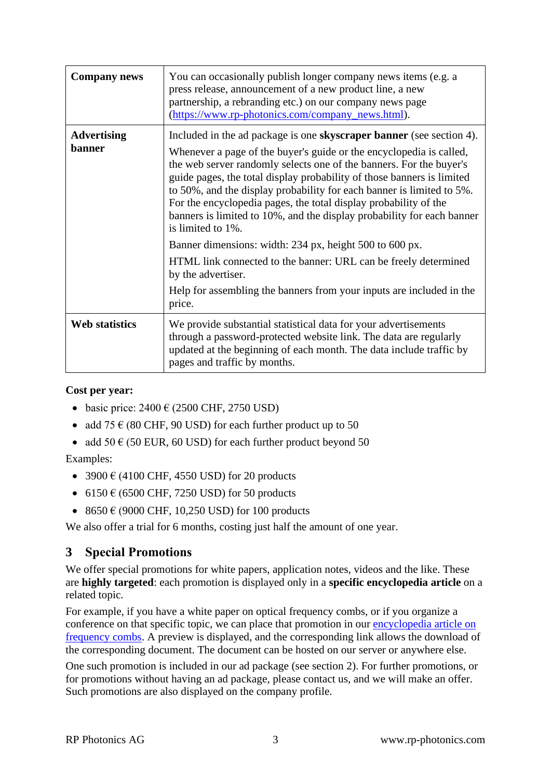| <b>Company news</b>          | You can occasionally publish longer company news items (e.g. a<br>press release, announcement of a new product line, a new<br>partnership, a rebranding etc.) on our company news page<br>(https://www.rp-photonics.com/company_news.html).                                                                                                                                                                                                                                                                                                                                                                |
|------------------------------|------------------------------------------------------------------------------------------------------------------------------------------------------------------------------------------------------------------------------------------------------------------------------------------------------------------------------------------------------------------------------------------------------------------------------------------------------------------------------------------------------------------------------------------------------------------------------------------------------------|
| <b>Advertising</b><br>banner | Included in the ad package is one <b>skyscraper banner</b> (see section 4).<br>Whenever a page of the buyer's guide or the encyclopedia is called,<br>the web server randomly selects one of the banners. For the buyer's<br>guide pages, the total display probability of those banners is limited<br>to 50%, and the display probability for each banner is limited to 5%.<br>For the encyclopedia pages, the total display probability of the<br>banners is limited to 10%, and the display probability for each banner<br>is limited to 1%.<br>Banner dimensions: width: 234 px, height 500 to 600 px. |
|                              | HTML link connected to the banner: URL can be freely determined<br>by the advertiser.<br>Help for assembling the banners from your inputs are included in the<br>price.                                                                                                                                                                                                                                                                                                                                                                                                                                    |
| <b>Web statistics</b>        | We provide substantial statistical data for your advertisements<br>through a password-protected website link. The data are regularly<br>updated at the beginning of each month. The data include traffic by<br>pages and traffic by months.                                                                                                                                                                                                                                                                                                                                                                |

#### **Cost per year:**

- basic price:  $2400 \text{ } \in (2500 \text{ CHF}, 2750 \text{ USD})$
- add  $75 \in (80 \text{ CHF}, 90 \text{ USD})$  for each further product up to 50
- add  $50 \text{ } \in (50 \text{ EUR}, 60 \text{ USD})$  for each further product beyond  $50$

Examples:

- 3900  $\in$  (4100 CHF, 4550 USD) for 20 products
- 6150  $\epsilon$  (6500 CHF, 7250 USD) for 50 products
- 8650  $\in$  (9000 CHF, 10,250 USD) for 100 products

We also offer a trial for 6 months, costing just half the amount of one year.

## <span id="page-2-0"></span>**3 Special Promotions**

We offer special promotions for white papers, application notes, videos and the like. These are **highly targeted**: each promotion is displayed only in a **specific encyclopedia article** on a related topic.

For example, if you have a white paper on optical frequency combs, or if you organize a conference on that specific topic, we can place that promotion in our [encyclopedia article on](https://www.rp-photonics.com/frequency_combs.html)  [frequency combs.](https://www.rp-photonics.com/frequency_combs.html) A preview is displayed, and the corresponding link allows the download of the corresponding document. The document can be hosted on our server or anywhere else.

One such promotion is included in our ad package (see section [2\)](#page-1-0). For further promotions, or for promotions without having an ad package, please contact us, and we will make an offer. Such promotions are also displayed on the company profile.